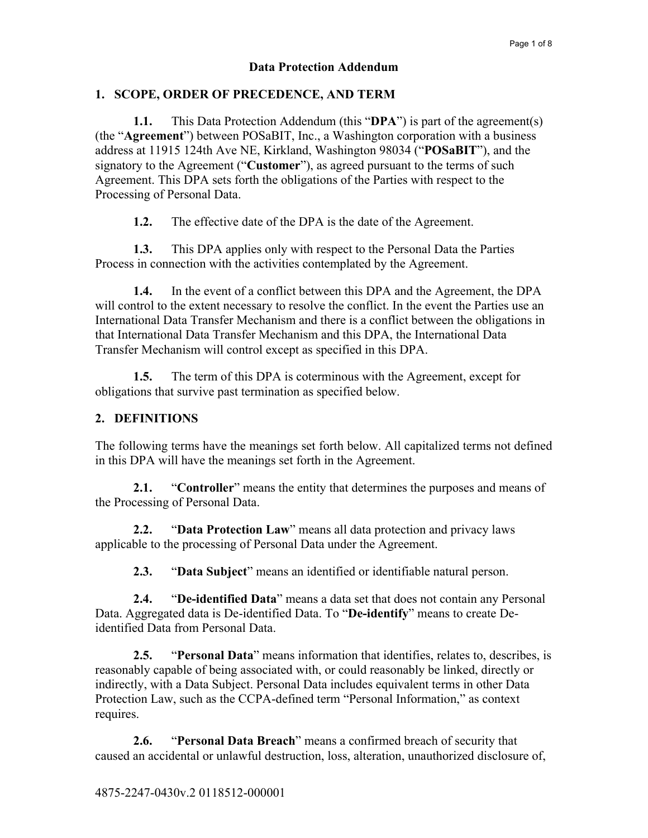## **Data Protection Addendum**

## **1. SCOPE, ORDER OF PRECEDENCE, AND TERM**

**1.1.** This Data Protection Addendum (this "DPA") is part of the agreement(s) (the "**Agreement**") between POSaBIT, Inc., a Washington corporation with a business address at 11915 124th Ave NE, Kirkland, Washington 98034 ("**POSaBIT**"), and the signatory to the Agreement ("**Customer**"), as agreed pursuant to the terms of such Agreement. This DPA sets forth the obligations of the Parties with respect to the Processing of Personal Data.

**1.2.** The effective date of the DPA is the date of the Agreement.

**1.3.** This DPA applies only with respect to the Personal Data the Parties Process in connection with the activities contemplated by the Agreement.

**1.4.** In the event of a conflict between this DPA and the Agreement, the DPA will control to the extent necessary to resolve the conflict. In the event the Parties use an International Data Transfer Mechanism and there is a conflict between the obligations in that International Data Transfer Mechanism and this DPA, the International Data Transfer Mechanism will control except as specified in this DPA.

**1.5.** The term of this DPA is coterminous with the Agreement, except for obligations that survive past termination as specified below.

#### **2. DEFINITIONS**

The following terms have the meanings set forth below. All capitalized terms not defined in this DPA will have the meanings set forth in the Agreement.

**2.1.** "**Controller**" means the entity that determines the purposes and means of the Processing of Personal Data.

**2.2.** "**Data Protection Law**" means all data protection and privacy laws applicable to the processing of Personal Data under the Agreement.

**2.3.** "**Data Subject**" means an identified or identifiable natural person.

**2.4.** "**De-identified Data**" means a data set that does not contain any Personal Data. Aggregated data is De-identified Data. To "**De-identify**" means to create Deidentified Data from Personal Data.

**2.5.** "**Personal Data**" means information that identifies, relates to, describes, is reasonably capable of being associated with, or could reasonably be linked, directly or indirectly, with a Data Subject. Personal Data includes equivalent terms in other Data Protection Law, such as the CCPA-defined term "Personal Information," as context requires.

**2.6.** "**Personal Data Breach**" means a confirmed breach of security that caused an accidental or unlawful destruction, loss, alteration, unauthorized disclosure of,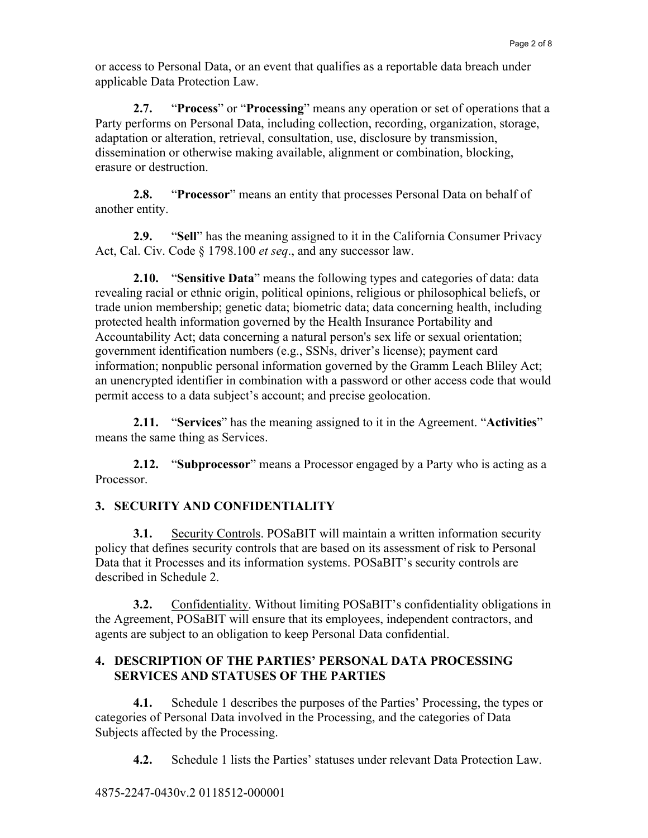or access to Personal Data, or an event that qualifies as a reportable data breach under applicable Data Protection Law.

**2.7.** "**Process**" or "**Processing**" means any operation or set of operations that a Party performs on Personal Data, including collection, recording, organization, storage, adaptation or alteration, retrieval, consultation, use, disclosure by transmission, dissemination or otherwise making available, alignment or combination, blocking, erasure or destruction.

**2.8.** "**Processor**" means an entity that processes Personal Data on behalf of another entity.

**2.9.** "**Sell**" has the meaning assigned to it in the California Consumer Privacy Act, Cal. Civ. Code § 1798.100 *et seq*., and any successor law.

**2.10.** "**Sensitive Data**" means the following types and categories of data: data revealing racial or ethnic origin, political opinions, religious or philosophical beliefs, or trade union membership; genetic data; biometric data; data concerning health, including protected health information governed by the Health Insurance Portability and Accountability Act; data concerning a natural person's sex life or sexual orientation; government identification numbers (e.g., SSNs, driver's license); payment card information; nonpublic personal information governed by the Gramm Leach Bliley Act; an unencrypted identifier in combination with a password or other access code that would permit access to a data subject's account; and precise geolocation.

**2.11.** "**Services**" has the meaning assigned to it in the Agreement. "**Activities**" means the same thing as Services.

**2.12.** "**Subprocessor**" means a Processor engaged by a Party who is acting as a Processor.

## **3. SECURITY AND CONFIDENTIALITY**

**3.1.** Security Controls. POSaBIT will maintain a written information security policy that defines security controls that are based on its assessment of risk to Personal Data that it Processes and its information systems. POSaBIT's security controls are described in Schedule 2.

**3.2.** Confidentiality. Without limiting POSaBIT's confidentiality obligations in the Agreement, POSaBIT will ensure that its employees, independent contractors, and agents are subject to an obligation to keep Personal Data confidential.

# **4. DESCRIPTION OF THE PARTIES' PERSONAL DATA PROCESSING SERVICES AND STATUSES OF THE PARTIES**

**4.1.** Schedule 1 describes the purposes of the Parties' Processing, the types or categories of Personal Data involved in the Processing, and the categories of Data Subjects affected by the Processing.

**4.2.** Schedule 1 lists the Parties' statuses under relevant Data Protection Law.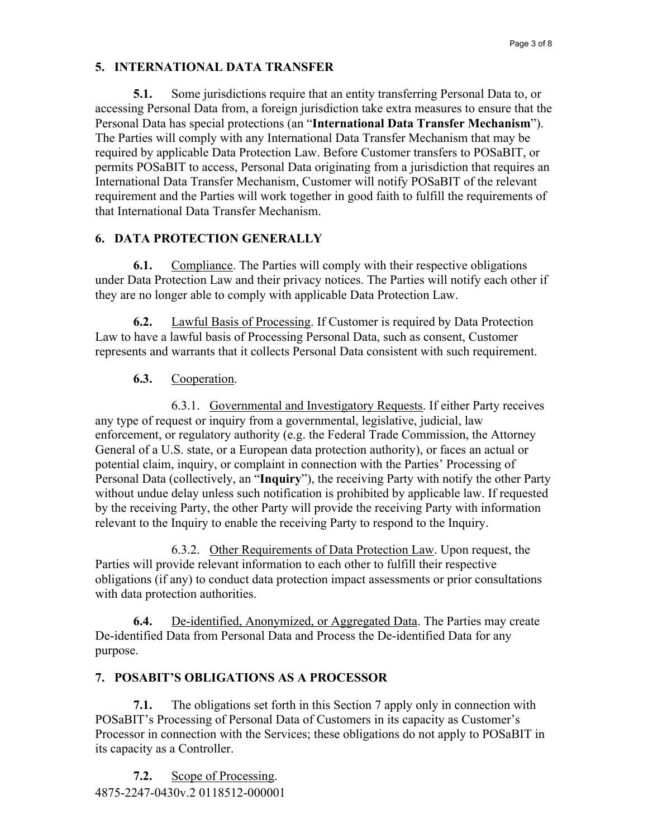## **5. INTERNATIONAL DATA TRANSFER**

**5.1.** Some jurisdictions require that an entity transferring Personal Data to, or accessing Personal Data from, a foreign jurisdiction take extra measures to ensure that the Personal Data has special protections (an "**International Data Transfer Mechanism**"). The Parties will comply with any International Data Transfer Mechanism that may be required by applicable Data Protection Law. Before Customer transfers to POSaBIT, or permits POSaBIT to access, Personal Data originating from a jurisdiction that requires an International Data Transfer Mechanism, Customer will notify POSaBIT of the relevant requirement and the Parties will work together in good faith to fulfill the requirements of that International Data Transfer Mechanism.

# **6. DATA PROTECTION GENERALLY**

**6.1.** Compliance. The Parties will comply with their respective obligations under Data Protection Law and their privacy notices. The Parties will notify each other if they are no longer able to comply with applicable Data Protection Law.

**6.2.** Lawful Basis of Processing. If Customer is required by Data Protection Law to have a lawful basis of Processing Personal Data, such as consent, Customer represents and warrants that it collects Personal Data consistent with such requirement.

## **6.3.** Cooperation.

6.3.1. Governmental and Investigatory Requests. If either Party receives any type of request or inquiry from a governmental, legislative, judicial, law enforcement, or regulatory authority (e.g. the Federal Trade Commission, the Attorney General of a U.S. state, or a European data protection authority), or faces an actual or potential claim, inquiry, or complaint in connection with the Parties' Processing of Personal Data (collectively, an "**Inquiry**"), the receiving Party with notify the other Party without undue delay unless such notification is prohibited by applicable law. If requested by the receiving Party, the other Party will provide the receiving Party with information relevant to the Inquiry to enable the receiving Party to respond to the Inquiry.

6.3.2. Other Requirements of Data Protection Law. Upon request, the Parties will provide relevant information to each other to fulfill their respective obligations (if any) to conduct data protection impact assessments or prior consultations with data protection authorities.

**6.4.** De-identified, Anonymized, or Aggregated Data. The Parties may create De-identified Data from Personal Data and Process the De-identified Data for any purpose.

## **7. POSABIT'S OBLIGATIONS AS A PROCESSOR**

**7.1.** The obligations set forth in this Section 7 apply only in connection with POSaBIT's Processing of Personal Data of Customers in its capacity as Customer's Processor in connection with the Services; these obligations do not apply to POSaBIT in its capacity as a Controller.

4875-2247-0430v.2 0118512-000001 **7.2.** Scope of Processing.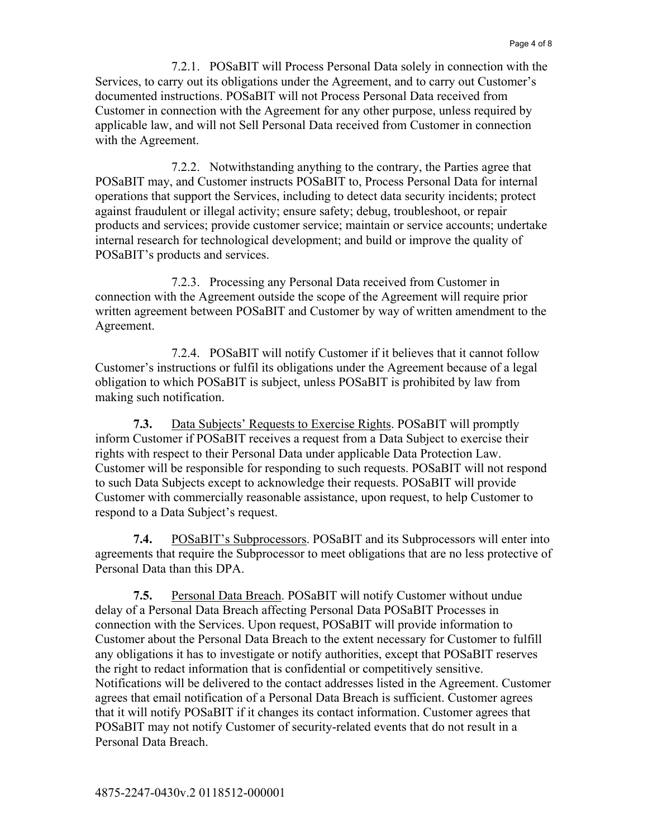7.2.1. POSaBIT will Process Personal Data solely in connection with the Services, to carry out its obligations under the Agreement, and to carry out Customer's documented instructions. POSaBIT will not Process Personal Data received from Customer in connection with the Agreement for any other purpose, unless required by applicable law, and will not Sell Personal Data received from Customer in connection with the Agreement.

7.2.2. Notwithstanding anything to the contrary, the Parties agree that POSaBIT may, and Customer instructs POSaBIT to, Process Personal Data for internal operations that support the Services, including to detect data security incidents; protect against fraudulent or illegal activity; ensure safety; debug, troubleshoot, or repair products and services; provide customer service; maintain or service accounts; undertake internal research for technological development; and build or improve the quality of POSaBIT's products and services.

7.2.3. Processing any Personal Data received from Customer in connection with the Agreement outside the scope of the Agreement will require prior written agreement between POSaBIT and Customer by way of written amendment to the Agreement.

7.2.4. POSaBIT will notify Customer if it believes that it cannot follow Customer's instructions or fulfil its obligations under the Agreement because of a legal obligation to which POSaBIT is subject, unless POSaBIT is prohibited by law from making such notification.

**7.3.** Data Subjects' Requests to Exercise Rights. POSaBIT will promptly inform Customer if POSaBIT receives a request from a Data Subject to exercise their rights with respect to their Personal Data under applicable Data Protection Law. Customer will be responsible for responding to such requests. POSaBIT will not respond to such Data Subjects except to acknowledge their requests. POSaBIT will provide Customer with commercially reasonable assistance, upon request, to help Customer to respond to a Data Subject's request.

**7.4.** POSaBIT's Subprocessors. POSaBIT and its Subprocessors will enter into agreements that require the Subprocessor to meet obligations that are no less protective of Personal Data than this DPA.

**7.5.** Personal Data Breach. POSaBIT will notify Customer without undue delay of a Personal Data Breach affecting Personal Data POSaBIT Processes in connection with the Services. Upon request, POSaBIT will provide information to Customer about the Personal Data Breach to the extent necessary for Customer to fulfill any obligations it has to investigate or notify authorities, except that POSaBIT reserves the right to redact information that is confidential or competitively sensitive. Notifications will be delivered to the contact addresses listed in the Agreement. Customer agrees that email notification of a Personal Data Breach is sufficient. Customer agrees that it will notify POSaBIT if it changes its contact information. Customer agrees that POSaBIT may not notify Customer of security-related events that do not result in a Personal Data Breach.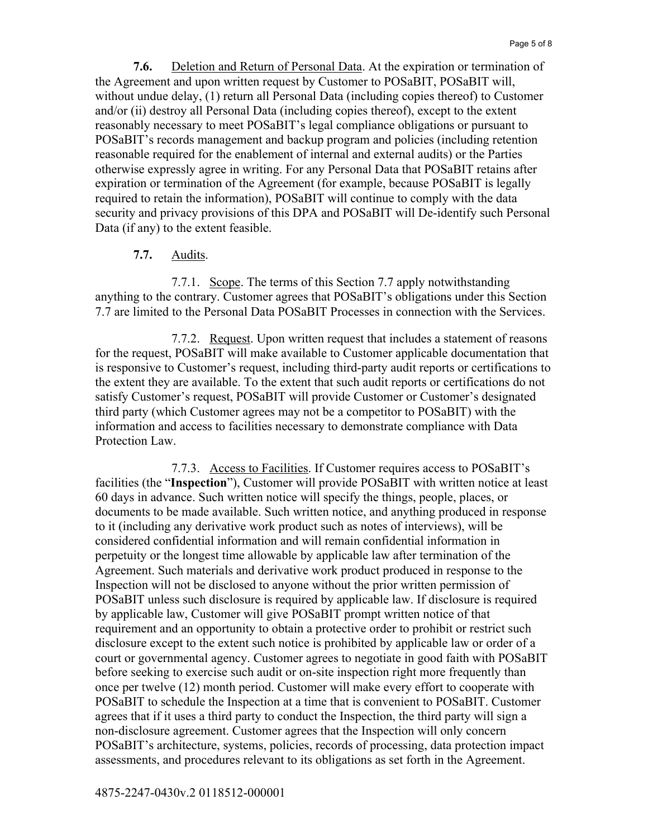**7.6.** Deletion and Return of Personal Data. At the expiration or termination of the Agreement and upon written request by Customer to POSaBIT, POSaBIT will, without undue delay, (1) return all Personal Data (including copies thereof) to Customer and/or (ii) destroy all Personal Data (including copies thereof), except to the extent reasonably necessary to meet POSaBIT's legal compliance obligations or pursuant to POSaBIT's records management and backup program and policies (including retention reasonable required for the enablement of internal and external audits) or the Parties otherwise expressly agree in writing. For any Personal Data that POSaBIT retains after expiration or termination of the Agreement (for example, because POSaBIT is legally required to retain the information), POSaBIT will continue to comply with the data security and privacy provisions of this DPA and POSaBIT will De-identify such Personal Data (if any) to the extent feasible.

#### **7.7.** Audits.

7.7.1. Scope. The terms of this Section 7.7 apply notwithstanding anything to the contrary. Customer agrees that POSaBIT's obligations under this Section 7.7 are limited to the Personal Data POSaBIT Processes in connection with the Services.

7.7.2. Request. Upon written request that includes a statement of reasons for the request, POSaBIT will make available to Customer applicable documentation that is responsive to Customer's request, including third-party audit reports or certifications to the extent they are available. To the extent that such audit reports or certifications do not satisfy Customer's request, POSaBIT will provide Customer or Customer's designated third party (which Customer agrees may not be a competitor to POSaBIT) with the information and access to facilities necessary to demonstrate compliance with Data Protection Law.

7.7.3. Access to Facilities. If Customer requires access to POSaBIT's facilities (the "**Inspection**"), Customer will provide POSaBIT with written notice at least 60 days in advance. Such written notice will specify the things, people, places, or documents to be made available. Such written notice, and anything produced in response to it (including any derivative work product such as notes of interviews), will be considered confidential information and will remain confidential information in perpetuity or the longest time allowable by applicable law after termination of the Agreement. Such materials and derivative work product produced in response to the Inspection will not be disclosed to anyone without the prior written permission of POSaBIT unless such disclosure is required by applicable law. If disclosure is required by applicable law, Customer will give POSaBIT prompt written notice of that requirement and an opportunity to obtain a protective order to prohibit or restrict such disclosure except to the extent such notice is prohibited by applicable law or order of a court or governmental agency. Customer agrees to negotiate in good faith with POSaBIT before seeking to exercise such audit or on-site inspection right more frequently than once per twelve (12) month period. Customer will make every effort to cooperate with POSaBIT to schedule the Inspection at a time that is convenient to POSaBIT. Customer agrees that if it uses a third party to conduct the Inspection, the third party will sign a non-disclosure agreement. Customer agrees that the Inspection will only concern POSaBIT's architecture, systems, policies, records of processing, data protection impact assessments, and procedures relevant to its obligations as set forth in the Agreement.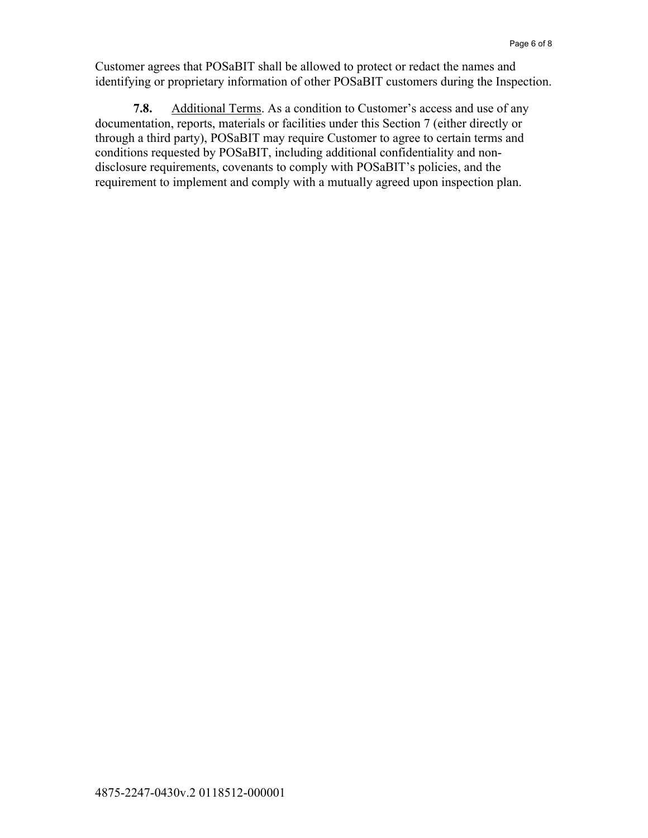Customer agrees that POSaBIT shall be allowed to protect or redact the names and identifying or proprietary information of other POSaBIT customers during the Inspection.

**7.8.** Additional Terms. As a condition to Customer's access and use of any documentation, reports, materials or facilities under this Section 7 (either directly or through a third party), POSaBIT may require Customer to agree to certain terms and conditions requested by POSaBIT, including additional confidentiality and nondisclosure requirements, covenants to comply with POSaBIT's policies, and the requirement to implement and comply with a mutually agreed upon inspection plan.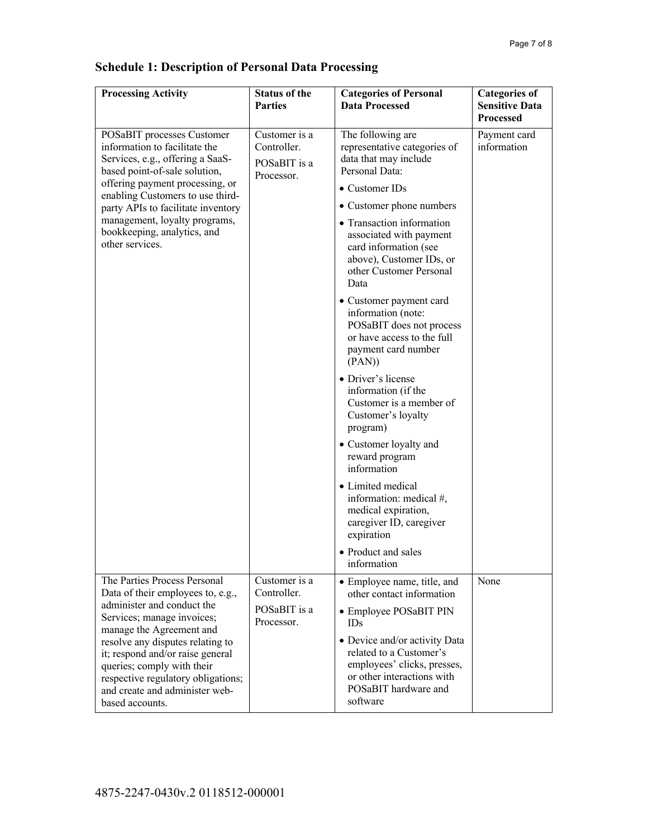|  |  | <b>Schedule 1: Description of Personal Data Processing</b> |  |  |  |
|--|--|------------------------------------------------------------|--|--|--|
|--|--|------------------------------------------------------------|--|--|--|

| <b>Processing Activity</b>                                                                                                                                                                    | <b>Status of the</b><br><b>Parties</b>                     | <b>Categories of Personal</b><br><b>Data Processed</b>                                                                                                    | <b>Categories of</b><br><b>Sensitive Data</b> |  |
|-----------------------------------------------------------------------------------------------------------------------------------------------------------------------------------------------|------------------------------------------------------------|-----------------------------------------------------------------------------------------------------------------------------------------------------------|-----------------------------------------------|--|
|                                                                                                                                                                                               |                                                            |                                                                                                                                                           | <b>Processed</b>                              |  |
| POSaBIT processes Customer<br>information to facilitate the<br>Services, e.g., offering a SaaS-<br>based point-of-sale solution,                                                              | Customer is a<br>Controller.<br>POSaBIT is a<br>Processor. | The following are<br>representative categories of<br>data that may include<br>Personal Data:                                                              | Payment card<br>information                   |  |
| offering payment processing, or<br>enabling Customers to use third-                                                                                                                           |                                                            | • Customer IDs                                                                                                                                            |                                               |  |
| party APIs to facilitate inventory                                                                                                                                                            |                                                            | • Customer phone numbers                                                                                                                                  |                                               |  |
| management, loyalty programs,<br>bookkeeping, analytics, and<br>other services.                                                                                                               |                                                            | • Transaction information<br>associated with payment<br>card information (see<br>above), Customer IDs, or<br>other Customer Personal<br>Data              |                                               |  |
|                                                                                                                                                                                               |                                                            | • Customer payment card<br>information (note:<br>POSaBIT does not process<br>or have access to the full<br>payment card number<br>(PAN)                   |                                               |  |
|                                                                                                                                                                                               |                                                            | · Driver's license<br>information (if the<br>Customer is a member of<br>Customer's loyalty<br>program)                                                    |                                               |  |
|                                                                                                                                                                                               |                                                            | • Customer loyalty and<br>reward program<br>information                                                                                                   |                                               |  |
|                                                                                                                                                                                               |                                                            | • Limited medical<br>information: medical #,<br>medical expiration,<br>caregiver ID, caregiver<br>expiration                                              |                                               |  |
|                                                                                                                                                                                               |                                                            | • Product and sales<br>information                                                                                                                        |                                               |  |
| The Parties Process Personal<br>Data of their employees to, e.g.,                                                                                                                             | Customer is a<br>Controller.                               | • Employee name, title, and<br>other contact information                                                                                                  | None                                          |  |
| administer and conduct the<br>Services; manage invoices;<br>manage the Agreement and                                                                                                          | POSaBIT is a<br>Processor.                                 | • Employee POSaBIT PIN<br>IDs                                                                                                                             |                                               |  |
| resolve any disputes relating to<br>it; respond and/or raise general<br>queries; comply with their<br>respective regulatory obligations;<br>and create and administer web-<br>based accounts. |                                                            | • Device and/or activity Data<br>related to a Customer's<br>employees' clicks, presses,<br>or other interactions with<br>POSaBIT hardware and<br>software |                                               |  |